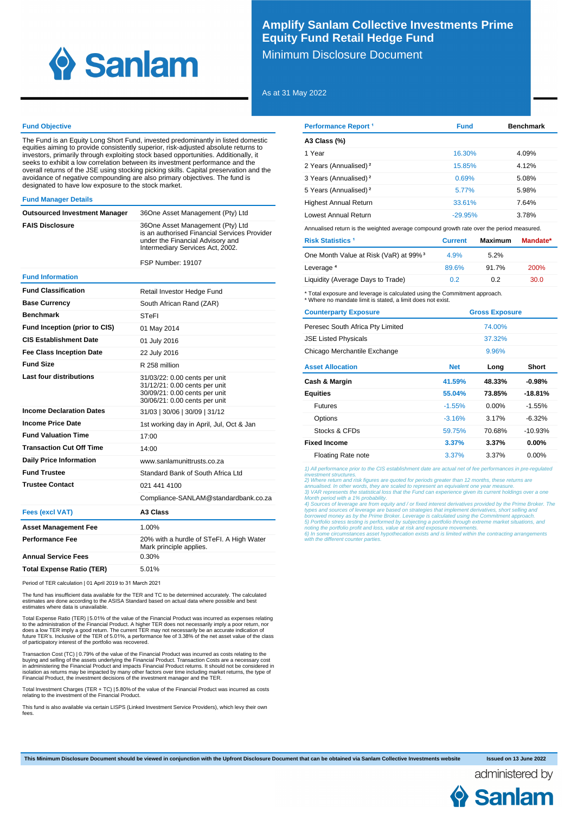

# **Amplify Sanlam Collective Investments Prime Equity Fund Retail Hedge Fund**

Minimum Disclosure Document

As at 31 May 2022

## **Fund Objective**

The Fund is an Equity Long Short Fund, invested predominantly in listed domestic equities aiming to provide consistently superior, risk-adjusted absolute returns to<br>investors, primarily through exploiting stock based opportunities. Additionally, it<br>seeks to exhibit a low correlation between its investm overall returns of the JSE using stocking picking skills. Capital preservation and the avoidance of negative compounding are also primary objectives. The fund is designated to have low exposure to the stock market.

#### **Fund Manager Details**

| Outsourced Investment Manager | 36One Asset Management (Pty) Ltd                                                                                                                         |
|-------------------------------|----------------------------------------------------------------------------------------------------------------------------------------------------------|
| <b>FAIS Disclosure</b>        | 36One Asset Management (Pty) Ltd<br>is an authorised Financial Services Provider<br>under the Financial Advisory and<br>Intermediary Services Act, 2002. |

FSP Number: 19107

#### **Fund Information**

| <b>Fund Classification</b>           | Retail Investor Hedge Fund                                                                                                       |
|--------------------------------------|----------------------------------------------------------------------------------------------------------------------------------|
| <b>Base Currency</b>                 | South African Rand (ZAR)                                                                                                         |
| <b>Benchmark</b>                     | <b>STeFI</b>                                                                                                                     |
| <b>Fund Inception (prior to CIS)</b> | 01 May 2014                                                                                                                      |
| <b>CIS Establishment Date</b>        | 01 July 2016                                                                                                                     |
| <b>Fee Class Inception Date</b>      | 22 July 2016                                                                                                                     |
| <b>Fund Size</b>                     | R 258 million                                                                                                                    |
| Last four distributions              | 31/03/22: 0.00 cents per unit<br>31/12/21: 0.00 cents per unit<br>30/09/21: 0.00 cents per unit<br>30/06/21: 0.00 cents per unit |
| <b>Income Declaration Dates</b>      | 31/03   30/06   30/09   31/12                                                                                                    |
| <b>Income Price Date</b>             | 1st working day in April, Jul, Oct & Jan                                                                                         |
| <b>Fund Valuation Time</b>           | 17:00                                                                                                                            |
| <b>Transaction Cut Off Time</b>      | 14:00                                                                                                                            |
| <b>Daily Price Information</b>       | www.sanlamunittrusts.co.za                                                                                                       |
| <b>Fund Trustee</b>                  | Standard Bank of South Africa Ltd                                                                                                |
| <b>Trustee Contact</b>               | 021 441 4100                                                                                                                     |
|                                      | Compliance-SANLAM@standardbank.co.za                                                                                             |
| <b>Fees (excl VAT)</b>               | A3 Class                                                                                                                         |
| <b>Asset Management Fee</b>          | 1.00%                                                                                                                            |
| <b>Performance Fee</b>               | 20% with a hurdle of STeFI. A High Water<br>Mark principle applies.                                                              |
| <b>Annual Service Fees</b>           | 0.30%                                                                                                                            |
| <b>Total Expense Ratio (TER)</b>     | 5.01%                                                                                                                            |

Period of TER calculation | 01 April 2019 to 31 March 2021

The fund has insufficient data available for the TER and TC to be determined accurately. The calculated<br>estimates are done according to the ASISA Standard based on actual data where possible and best<br>estimates where data i

Total Expense Ratio (TER) | 5.01% of the value of the Financial Product was incurred as expenses relating<br>to the administration of the Financial Product. A higher TER does not necessarily imply a poor return, nor<br>does a lo

Transaction Cost (TC) | 0.79% of the value of the Financial Product was incurred as costs relating to the buying and selling of the assets underlying the Financial Product. Transaction Costs are a necessary cost<br>in administering the Financial Product and impacts Financial Product returns. It should not be considered in<br>isolati

Total Investment Charges (TER + TC) | 5.80% of the value of the Financial Product was incurred as costs relating to the investment of the Financial Product.

This fund is also available via certain LISPS (Linked Investment Service Providers), which levy their own fees.

| <b>Performance Report 1</b>       | <b>Fund</b> | <b>Benchmark</b> |
|-----------------------------------|-------------|------------------|
| A3 Class (%)                      |             |                  |
| 1 Year                            | 16.30%      | 4.09%            |
| 2 Years (Annualised) <sup>2</sup> | 15.85%      | 4.12%            |
| 3 Years (Annualised) <sup>2</sup> | 0.69%       | 5.08%            |
| 5 Years (Annualised) <sup>2</sup> | 5.77%       | 5.98%            |
| <b>Highest Annual Return</b>      | 33.61%      | 7.64%            |
| Lowest Annual Return              | $-29.95%$   | 3.78%            |

Annualised return is the weighted average compound growth rate over the period measured.

| <b>Risk Statistics 1</b>                          | <b>Current</b> | Maximum | Mandate*    |
|---------------------------------------------------|----------------|---------|-------------|
| One Month Value at Risk (VaR) at 99% <sup>3</sup> | 4.9%           | 5.2%    |             |
| Leverage <sup>4</sup>                             | 89.6%          | 91.7%   | <b>200%</b> |
| Liquidity (Average Days to Trade)                 | 0.2            | 0.2     | 30.0        |

\* Total exposure and leverage is calculated using the Commitment approach. \* Where no mandate limit is stated, a limit does not exist.

| <b>Counterparty Exposure</b>     |            | <b>Gross Exposure</b> |           |
|----------------------------------|------------|-----------------------|-----------|
| Peresec South Africa Pty Limited |            | 74.00%                |           |
| <b>JSE Listed Physicals</b>      |            | 37.32%                |           |
| Chicago Merchantile Exchange     |            | 9.96%                 |           |
| <b>Asset Allocation</b>          | <b>Net</b> | Long                  | Short     |
| Cash & Margin                    | 41.59%     | 48.33%                | $-0.98%$  |
| <b>Equities</b>                  | 55.04%     | 73.85%                | $-18.81%$ |
| <b>Futures</b>                   | $-1.55%$   | $0.00\%$              | $-1.55%$  |
| Options                          | $-3.16%$   | 3.17%                 | $-6.32\%$ |
| Stocks & CFDs                    | 59.75%     | 70.68%                | $-10.93%$ |
| <b>Fixed Income</b>              | 3.37%      | 3.37%                 | $0.00\%$  |
| <b>Floating Rate note</b>        | 3.37%      | 3.37%                 | $0.00\%$  |

1) All performance prior to the CIS establishment date are actual net of fee performances in pre-regulated

investment structures. 2) Where return and risk figures are quoted for periods greater than 12 months, these returns are

annualised. In other words, they are scaled to represent an equivalent one year measure.<br>3) VAR represents the statistical loss that the Fund can experience given its current holdings over a one<br>Month period with a 1% prob

noting the portfolio profit and loss, value at risk and exposure movements. 6) In some circumstances asset hypothecation exists and is limited within the contracting arrangements with the different counter parties.

**This Minimum Disclosure Document should be viewed in conjunction with the Upfront Disclosure Document that can be obtained via Sanlam Collective Investments website Issued on 13 June 2022**

administered by